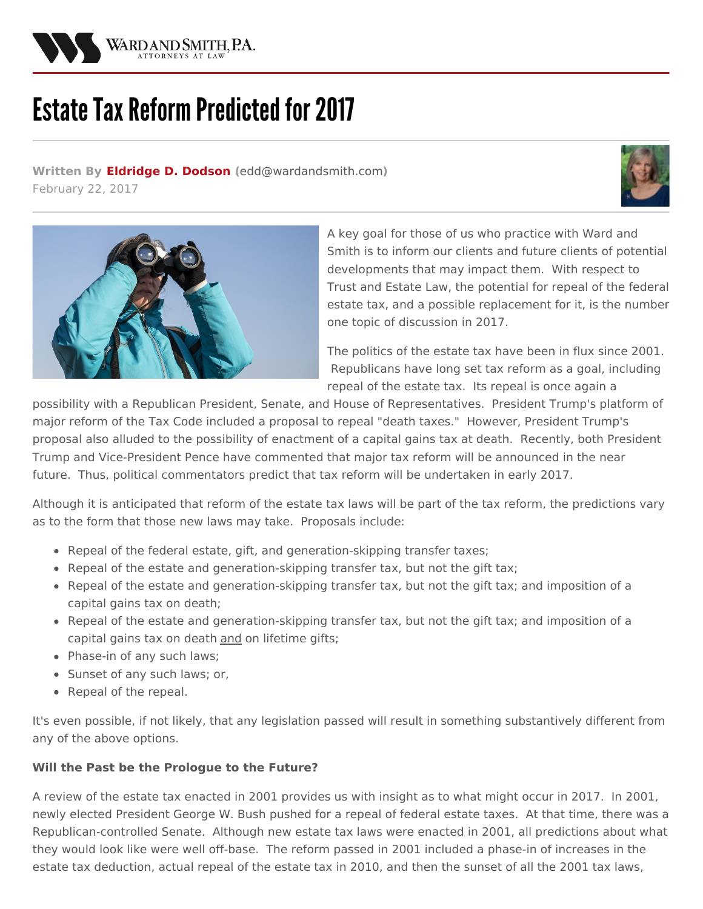

# **Estate Tax Reform Predicted for 2017**

**Written By [Eldridge](/attorneys/eldridge-dodson) D. Dodson (**[edd@wardandsmith.com](mailto:edd@wardandsmith.com)**)** February 22, 2017





A key goal for those of us who practice with Ward and Smith is to inform our clients and future clients of potential developments that may impact them. With respect to Trust and Estate Law, the potential for repeal of the federal estate tax, and a possible replacement for it, is the number one topic of discussion in 2017.

The politics of the estate tax have been in flux since 2001. Republicans have long set tax reform as a goal, including repeal of the estate tax. Its repeal is once again a

possibility with a Republican President, Senate, and House of Representatives. President Trump's platform of major reform of the Tax Code included a proposal to repeal "death taxes." However, President Trump's proposal also alluded to the possibility of enactment of a capital gains tax at death. Recently, both President Trump and Vice‑President Pence have commented that major tax reform will be announced in the near future. Thus, political commentators predict that tax reform will be undertaken in early 2017.

Although it is anticipated that reform of the estate tax laws will be part of the tax reform, the predictions vary as to the form that those new laws may take. Proposals include:

- Repeal of the federal estate, gift, and generation-skipping transfer taxes;
- Repeal of the estate and generation-skipping transfer tax, but not the gift tax;
- Repeal of the estate and generation-skipping transfer tax, but not the gift tax; and imposition of a capital gains tax on death;
- Repeal of the estate and generation‑skipping transfer tax, but not the gift tax; and imposition of a capital gains tax on death and on lifetime gifts;
- Phase-in of any such laws;
- Sunset of any such laws; or,
- Repeal of the repeal.

It's even possible, if not likely, that any legislation passed will result in something substantively different from any of the above options.

## **Will the Past be the Prologue to the Future?**

A review of the estate tax enacted in 2001 provides us with insight as to what might occur in 2017. In 2001, newly elected President George W. Bush pushed for a repeal of federal estate taxes. At that time, there was a Republican-controlled Senate. Although new estate tax laws were enacted in 2001, all predictions about what they would look like were well off-base. The reform passed in 2001 included a phase-in of increases in the estate tax deduction, actual repeal of the estate tax in 2010, and then the sunset of all the 2001 tax laws,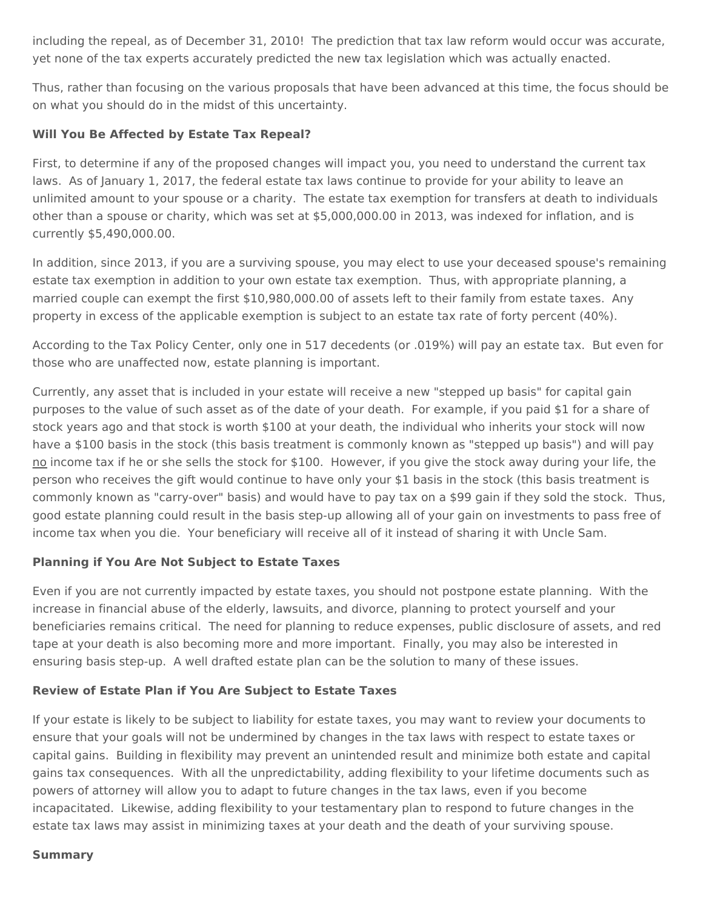including the repeal, as of December 31, 2010! The prediction that tax law reform would occur was accurate, yet none of the tax experts accurately predicted the new tax legislation which was actually enacted.

Thus, rather than focusing on the various proposals that have been advanced at this time, the focus should be on what you should do in the midst of this uncertainty.

### **Will You Be Affected by Estate Tax Repeal?**

First, to determine if any of the proposed changes will impact you, you need to understand the current tax laws. As of January 1, 2017, the federal estate tax laws continue to provide for your ability to leave an unlimited amount to your spouse or a charity. The estate tax exemption for transfers at death to individuals other than a spouse or charity, which was set at \$5,000,000.00 in 2013, was indexed for inflation, and is currently \$5,490,000.00.

In addition, since 2013, if you are a surviving spouse, you may elect to use your deceased spouse's remaining estate tax exemption in addition to your own estate tax exemption. Thus, with appropriate planning, a married couple can exempt the first \$10,980,000.00 of assets left to their family from estate taxes. Any property in excess of the applicable exemption is subject to an estate tax rate of forty percent (40%).

According to the Tax Policy Center, only one in 517 decedents (or .019%) will pay an estate tax. But even for those who are unaffected now, estate planning is important.

Currently, any asset that is included in your estate will receive a new "stepped up basis" for capital gain purposes to the value of such asset as of the date of your death. For example, if you paid \$1 for a share of stock years ago and that stock is worth \$100 at your death, the individual who inherits your stock will now have a \$100 basis in the stock (this basis treatment is commonly known as "stepped up basis") and will pay no income tax if he or she sells the stock for \$100. However, if you give the stock away during your life, the person who receives the gift would continue to have only your \$1 basis in the stock (this basis treatment is commonly known as "carry-over" basis) and would have to pay tax on a \$99 gain if they sold the stock. Thus, good estate planning could result in the basis step‑up allowing all of your gain on investments to pass free of income tax when you die. Your beneficiary will receive all of it instead of sharing it with Uncle Sam.

## **Planning if You Are Not Subject to Estate Taxes**

Even if you are not currently impacted by estate taxes, you should not postpone estate planning. With the increase in financial abuse of the elderly, lawsuits, and divorce, planning to protect yourself and your beneficiaries remains critical. The need for planning to reduce expenses, public disclosure of assets, and red tape at your death is also becoming more and more important. Finally, you may also be interested in ensuring basis step-up. A well drafted estate plan can be the solution to many of these issues.

#### **Review of Estate Plan if You Are Subject to Estate Taxes**

If your estate is likely to be subject to liability for estate taxes, you may want to review your documents to ensure that your goals will not be undermined by changes in the tax laws with respect to estate taxes or capital gains. Building in flexibility may prevent an unintended result and minimize both estate and capital gains tax consequences. With all the unpredictability, adding flexibility to your lifetime documents such as powers of attorney will allow you to adapt to future changes in the tax laws, even if you become incapacitated. Likewise, adding flexibility to your testamentary plan to respond to future changes in the estate tax laws may assist in minimizing taxes at your death and the death of your surviving spouse.

#### **Summary**